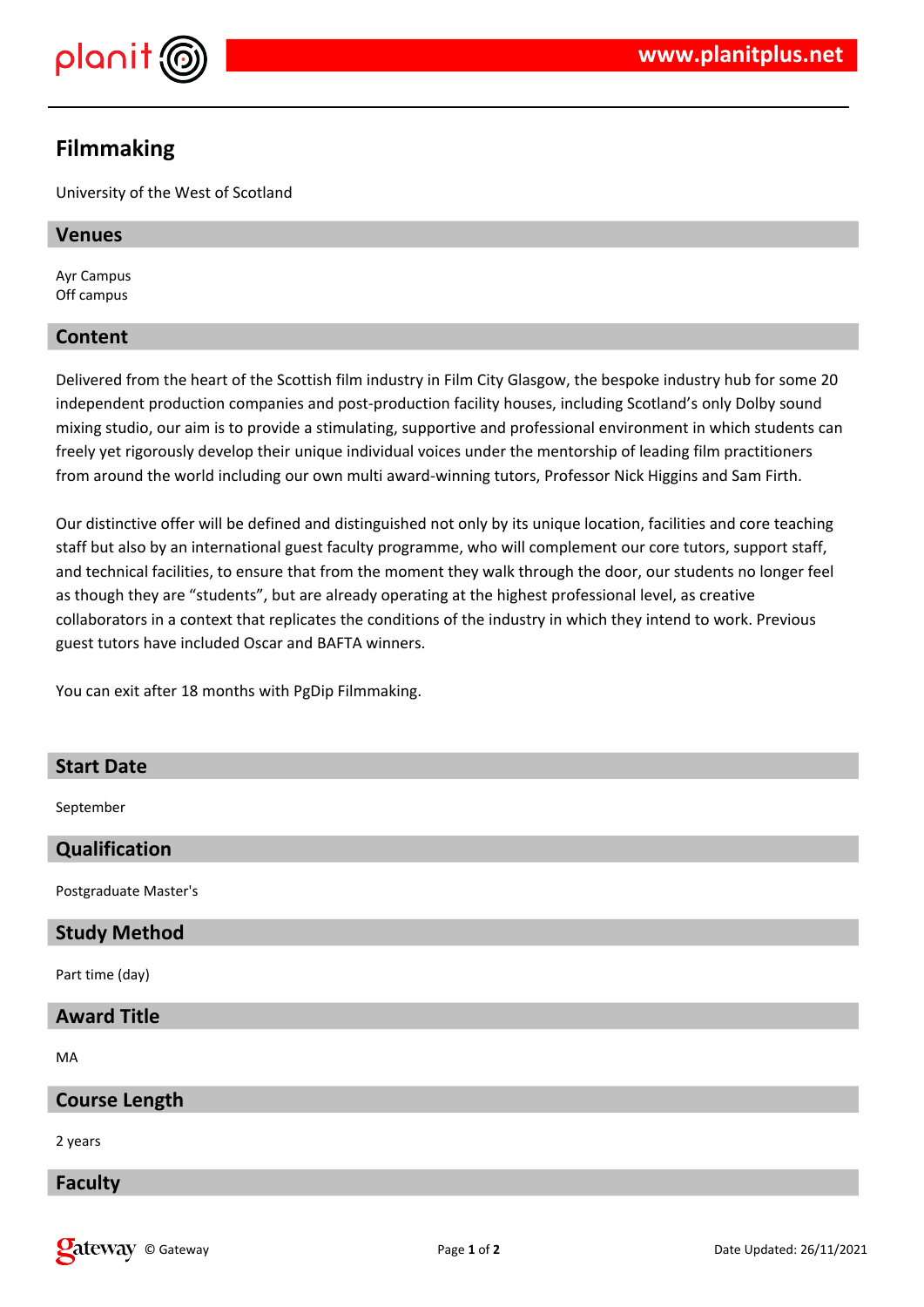

# **Filmmaking**

University of the West of Scotland

#### **Venues**

Ayr Campus Off campus

# **Content**

Delivered from the heart of the Scottish film industry in Film City Glasgow, the bespoke industry hub for some 20 independent production companies and post-production facility houses, including Scotland's only Dolby sound mixing studio, our aim is to provide a stimulating, supportive and professional environment in which students can freely yet rigorously develop their unique individual voices under the mentorship of leading film practitioners from around the world including our own multi award-winning tutors, Professor Nick Higgins and Sam Firth.

Our distinctive offer will be defined and distinguished not only by its unique location, facilities and core teaching staff but also by an international guest faculty programme, who will complement our core tutors, support staff, and technical facilities, to ensure that from the moment they walk through the door, our students no longer feel as though they are "students", but are already operating at the highest professional level, as creative collaborators in a context that replicates the conditions of the industry in which they intend to work. Previous guest tutors have included Oscar and BAFTA winners.

You can exit after 18 months with PgDip Filmmaking.

# **Start Date**

September

# **Qualification**

Postgraduate Master's

# **Study Method**

Part time (day)

# **Award Title**

MA

# **Course Length**

2 years

# **Faculty**